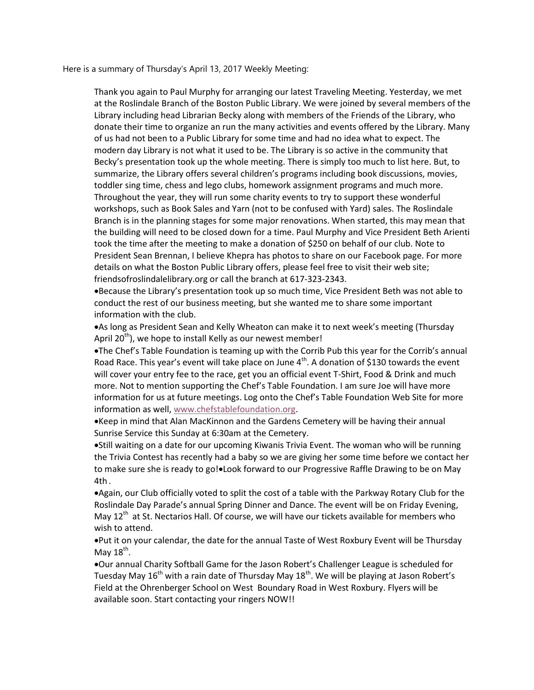Here is a summary of Thursday's April 13, 2017 Weekly Meeting:

Thank you again to Paul Murphy for arranging our latest Traveling Meeting. Yesterday, we met at the Roslindale Branch of the Boston Public Library. We were joined by several members of the Library including head Librarian Becky along with members of the Friends of the Library, who donate their time to organize an run the many activities and events offered by the Library. Many of us had not been to a Public Library for some time and had no idea what to expect. The modern day Library is not what it used to be. The Library is so active in the community that Becky's presentation took up the whole meeting. There is simply too much to list here. But, to summarize, the Library offers several children's programs including book discussions, movies, toddler sing time, chess and lego clubs, homework assignment programs and much more. Throughout the year, they will run some charity events to try to support these wonderful workshops, such as Book Sales and Yarn (not to be confused with Yard) sales. The Roslindale Branch is in the planning stages for some major renovations. When started, this may mean that the building will need to be closed down for a time. Paul Murphy and Vice President Beth Arienti took the time after the meeting to make a donation of \$250 on behalf of our club. Note to President Sean Brennan, I believe Khepra has photos to share on our Facebook page. For more details on what the Boston Public Library offers, please feel free to visit their web site; friendsofroslindalelibrary.org or call the branch at 617-323-2343.

Because the Library's presentation took up so much time, Vice President Beth was not able to conduct the rest of our business meeting, but she wanted me to share some important information with the club.

As long as President Sean and Kelly Wheaton can make it to next week's meeting (Thursday April 20<sup>th</sup>), we hope to install Kelly as our newest member!

The Chef's Table Foundation is teaming up with the Corrib Pub this year for the Corrib's annual Road Race. This year's event will take place on June  $4<sup>th</sup>$ . A donation of \$130 towards the event will cover your entry fee to the race, get you an official event T-Shirt, Food & Drink and much more. Not to mention supporting the Chef's Table Foundation. I am sure Joe will have more information for us at future meetings. Log onto the Chef's Table Foundation Web Site for more information as well, www.chefstablefoundation.org.

Keep in mind that Alan MacKinnon and the Gardens Cemetery will be having their annual Sunrise Service this Sunday at 6:30am at the Cemetery.

• Still waiting on a date for our upcoming Kiwanis Trivia Event. The woman who will be running the Trivia Contest has recently had a baby so we are giving her some time before we contact her to make sure she is ready to go!. Look forward to our Progressive Raffle Drawing to be on May 4th .

Again, our Club officially voted to split the cost of a table with the Parkway Rotary Club for the Roslindale Day Parade's annual Spring Dinner and Dance. The event will be on Friday Evening, May  $12<sup>th</sup>$  at St. Nectarios Hall. Of course, we will have our tickets available for members who wish to attend.

Put it on your calendar, the date for the annual Taste of West Roxbury Event will be Thursday May 18<sup>th</sup>.

Our annual Charity Softball Game for the Jason Robert's Challenger League is scheduled for Tuesday May  $16<sup>th</sup>$  with a rain date of Thursday May  $18<sup>th</sup>$ . We will be playing at Jason Robert's Field at the Ohrenberger School on West Boundary Road in West Roxbury. Flyers will be available soon. Start contacting your ringers NOW!!